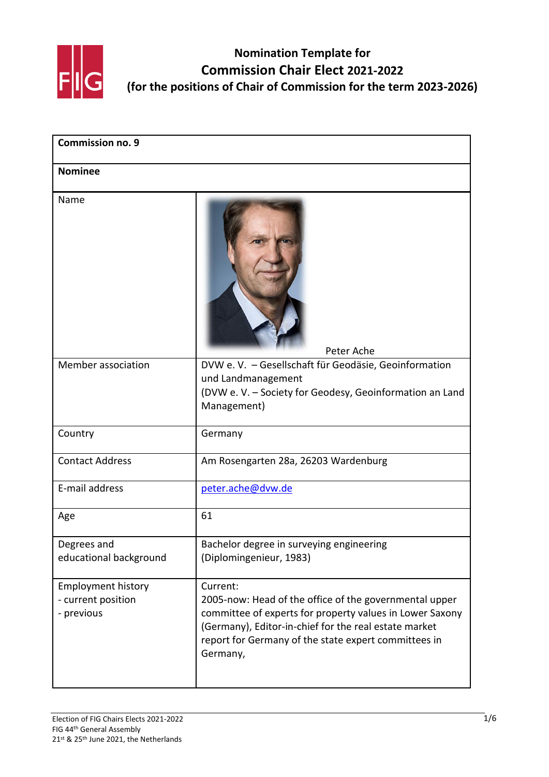

| <b>Commission no. 9</b><br><b>Nominee</b>                     |                                                                                                                                                                                                                                                             |  |
|---------------------------------------------------------------|-------------------------------------------------------------------------------------------------------------------------------------------------------------------------------------------------------------------------------------------------------------|--|
|                                                               |                                                                                                                                                                                                                                                             |  |
| Member association                                            | DVW e. V. - Gesellschaft für Geodäsie, Geoinformation<br>und Landmanagement<br>(DVW e. V. - Society for Geodesy, Geoinformation an Land<br>Management)                                                                                                      |  |
| Country                                                       | Germany                                                                                                                                                                                                                                                     |  |
| <b>Contact Address</b>                                        | Am Rosengarten 28a, 26203 Wardenburg                                                                                                                                                                                                                        |  |
| E-mail address                                                | peter.ache@dvw.de                                                                                                                                                                                                                                           |  |
| Age                                                           | 61                                                                                                                                                                                                                                                          |  |
| Degrees and<br>educational background                         | Bachelor degree in surveying engineering<br>(Diplomingenieur, 1983)                                                                                                                                                                                         |  |
| <b>Employment history</b><br>- current position<br>- previous | Current:<br>2005-now: Head of the office of the governmental upper<br>committee of experts for property values in Lower Saxony<br>(Germany), Editor-in-chief for the real estate market<br>report for Germany of the state expert committees in<br>Germany, |  |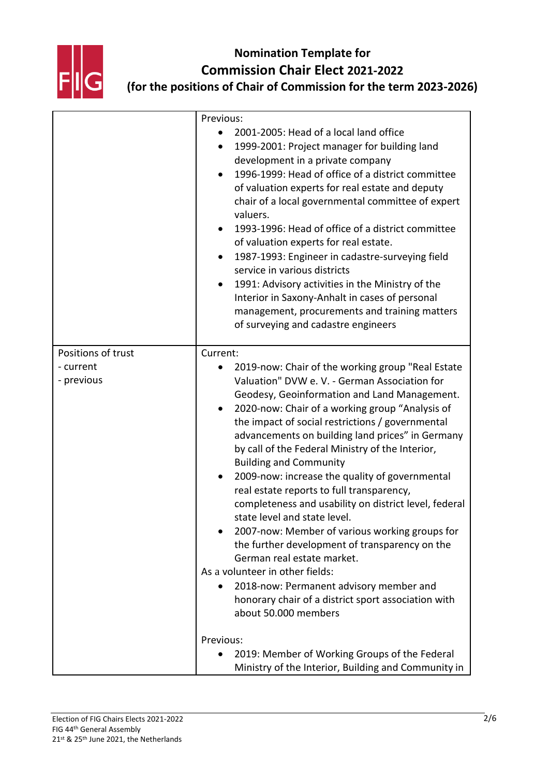

|                                               | Previous:                                                                                                                                                                                                                                                                                                                                                                                                                                                                                                                                                                                                                                                                                                                                                                                                                                                                                                          |
|-----------------------------------------------|--------------------------------------------------------------------------------------------------------------------------------------------------------------------------------------------------------------------------------------------------------------------------------------------------------------------------------------------------------------------------------------------------------------------------------------------------------------------------------------------------------------------------------------------------------------------------------------------------------------------------------------------------------------------------------------------------------------------------------------------------------------------------------------------------------------------------------------------------------------------------------------------------------------------|
|                                               | 2001-2005: Head of a local land office<br>1999-2001: Project manager for building land<br>development in a private company<br>1996-1999: Head of office of a district committee<br>of valuation experts for real estate and deputy<br>chair of a local governmental committee of expert<br>valuers.<br>1993-1996: Head of office of a district committee<br>of valuation experts for real estate.<br>1987-1993: Engineer in cadastre-surveying field<br>service in various districts<br>1991: Advisory activities in the Ministry of the<br>Interior in Saxony-Anhalt in cases of personal<br>management, procurements and training matters<br>of surveying and cadastre engineers                                                                                                                                                                                                                                 |
| Positions of trust<br>- current<br>- previous | Current:<br>2019-now: Chair of the working group "Real Estate<br>Valuation" DVW e. V. - German Association for<br>Geodesy, Geoinformation and Land Management.<br>2020-now: Chair of a working group "Analysis of<br>the impact of social restrictions / governmental<br>advancements on building land prices" in Germany<br>by call of the Federal Ministry of the Interior,<br><b>Building and Community</b><br>2009-now: increase the quality of governmental<br>real estate reports to full transparency,<br>completeness and usability on district level, federal<br>state level and state level.<br>2007-now: Member of various working groups for<br>the further development of transparency on the<br>German real estate market.<br>As a volunteer in other fields:<br>2018-now: Permanent advisory member and<br>honorary chair of a district sport association with<br>about 50.000 members<br>Previous: |
|                                               | 2019: Member of Working Groups of the Federal<br>Ministry of the Interior, Building and Community in                                                                                                                                                                                                                                                                                                                                                                                                                                                                                                                                                                                                                                                                                                                                                                                                               |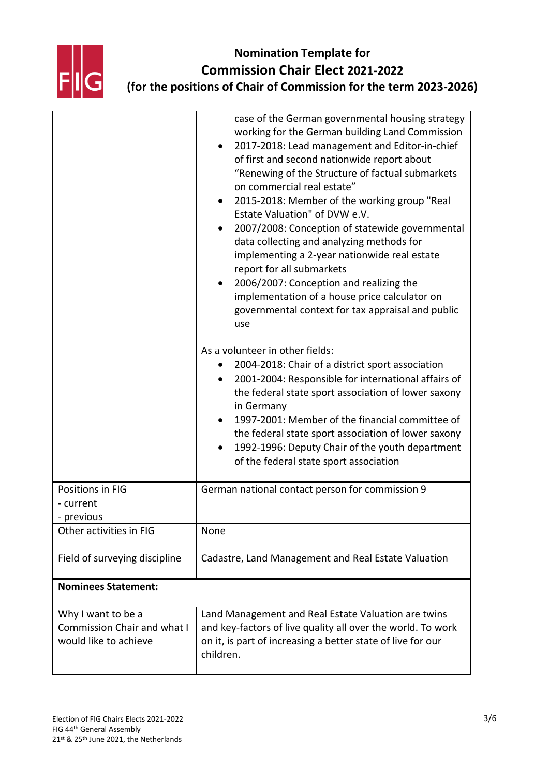

|                                                                                   | case of the German governmental housing strategy<br>working for the German building Land Commission<br>2017-2018: Lead management and Editor-in-chief<br>of first and second nationwide report about<br>"Renewing of the Structure of factual submarkets<br>on commercial real estate"<br>2015-2018: Member of the working group "Real<br>Estate Valuation" of DVW e.V.<br>2007/2008: Conception of statewide governmental<br>data collecting and analyzing methods for<br>implementing a 2-year nationwide real estate<br>report for all submarkets<br>2006/2007: Conception and realizing the<br>implementation of a house price calculator on<br>governmental context for tax appraisal and public<br>use |
|-----------------------------------------------------------------------------------|--------------------------------------------------------------------------------------------------------------------------------------------------------------------------------------------------------------------------------------------------------------------------------------------------------------------------------------------------------------------------------------------------------------------------------------------------------------------------------------------------------------------------------------------------------------------------------------------------------------------------------------------------------------------------------------------------------------|
|                                                                                   | As a volunteer in other fields:<br>2004-2018: Chair of a district sport association<br>2001-2004: Responsible for international affairs of<br>the federal state sport association of lower saxony<br>in Germany<br>1997-2001: Member of the financial committee of<br>the federal state sport association of lower saxony<br>1992-1996: Deputy Chair of the youth department<br>of the federal state sport association                                                                                                                                                                                                                                                                                       |
| Positions in FIG<br>- current<br>- previous                                       | German national contact person for commission 9                                                                                                                                                                                                                                                                                                                                                                                                                                                                                                                                                                                                                                                              |
| Other activities in FIG                                                           | None                                                                                                                                                                                                                                                                                                                                                                                                                                                                                                                                                                                                                                                                                                         |
| Field of surveying discipline                                                     | Cadastre, Land Management and Real Estate Valuation                                                                                                                                                                                                                                                                                                                                                                                                                                                                                                                                                                                                                                                          |
| <b>Nominees Statement:</b>                                                        |                                                                                                                                                                                                                                                                                                                                                                                                                                                                                                                                                                                                                                                                                                              |
| Why I want to be a<br><b>Commission Chair and what I</b><br>would like to achieve | Land Management and Real Estate Valuation are twins<br>and key-factors of live quality all over the world. To work<br>on it, is part of increasing a better state of live for our<br>children.                                                                                                                                                                                                                                                                                                                                                                                                                                                                                                               |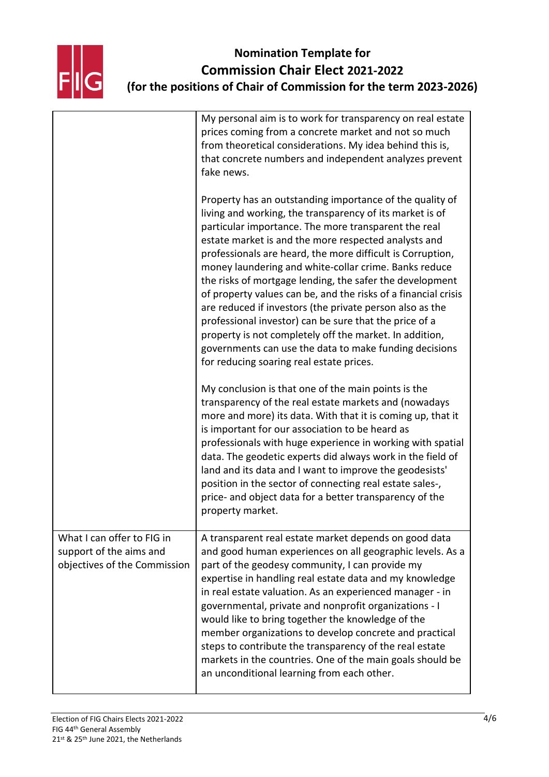

|                                                                                       | My personal aim is to work for transparency on real estate<br>prices coming from a concrete market and not so much<br>from theoretical considerations. My idea behind this is,<br>that concrete numbers and independent analyzes prevent<br>fake news.                                                                                                                                                                                                                                                                                                                                                                                                                                                                                                                           |
|---------------------------------------------------------------------------------------|----------------------------------------------------------------------------------------------------------------------------------------------------------------------------------------------------------------------------------------------------------------------------------------------------------------------------------------------------------------------------------------------------------------------------------------------------------------------------------------------------------------------------------------------------------------------------------------------------------------------------------------------------------------------------------------------------------------------------------------------------------------------------------|
|                                                                                       | Property has an outstanding importance of the quality of<br>living and working, the transparency of its market is of<br>particular importance. The more transparent the real<br>estate market is and the more respected analysts and<br>professionals are heard, the more difficult is Corruption,<br>money laundering and white-collar crime. Banks reduce<br>the risks of mortgage lending, the safer the development<br>of property values can be, and the risks of a financial crisis<br>are reduced if investors (the private person also as the<br>professional investor) can be sure that the price of a<br>property is not completely off the market. In addition,<br>governments can use the data to make funding decisions<br>for reducing soaring real estate prices. |
|                                                                                       | My conclusion is that one of the main points is the<br>transparency of the real estate markets and (nowadays<br>more and more) its data. With that it is coming up, that it<br>is important for our association to be heard as<br>professionals with huge experience in working with spatial<br>data. The geodetic experts did always work in the field of<br>land and its data and I want to improve the geodesists'<br>position in the sector of connecting real estate sales-,<br>price- and object data for a better transparency of the<br>property market.                                                                                                                                                                                                                 |
| What I can offer to FIG in<br>support of the aims and<br>objectives of the Commission | A transparent real estate market depends on good data<br>and good human experiences on all geographic levels. As a<br>part of the geodesy community, I can provide my<br>expertise in handling real estate data and my knowledge<br>in real estate valuation. As an experienced manager - in<br>governmental, private and nonprofit organizations - I<br>would like to bring together the knowledge of the<br>member organizations to develop concrete and practical<br>steps to contribute the transparency of the real estate<br>markets in the countries. One of the main goals should be<br>an unconditional learning from each other.                                                                                                                                       |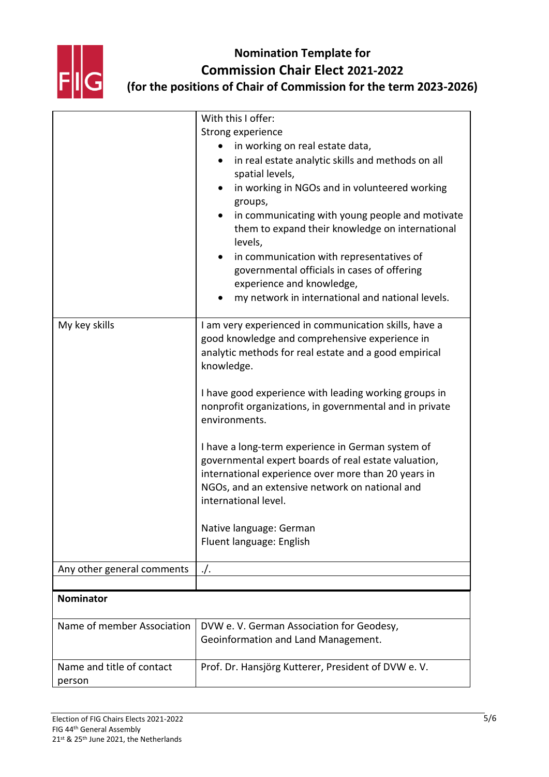

# **Nomination Template for Commission Chair Elect 2021-2022**

**(for the positions of Chair of Commission for the term 2023-2026)**

|                                     | With this I offer:                                                                                                                                                                                                                         |
|-------------------------------------|--------------------------------------------------------------------------------------------------------------------------------------------------------------------------------------------------------------------------------------------|
|                                     | Strong experience                                                                                                                                                                                                                          |
|                                     | in working on real estate data,                                                                                                                                                                                                            |
|                                     | in real estate analytic skills and methods on all                                                                                                                                                                                          |
|                                     | spatial levels,                                                                                                                                                                                                                            |
|                                     | in working in NGOs and in volunteered working                                                                                                                                                                                              |
|                                     | groups,                                                                                                                                                                                                                                    |
|                                     | in communicating with young people and motivate<br>them to expand their knowledge on international                                                                                                                                         |
|                                     | levels,                                                                                                                                                                                                                                    |
|                                     | in communication with representatives of                                                                                                                                                                                                   |
|                                     | governmental officials in cases of offering                                                                                                                                                                                                |
|                                     | experience and knowledge,                                                                                                                                                                                                                  |
|                                     | my network in international and national levels.                                                                                                                                                                                           |
| My key skills                       | I am very experienced in communication skills, have a                                                                                                                                                                                      |
|                                     | good knowledge and comprehensive experience in                                                                                                                                                                                             |
|                                     | analytic methods for real estate and a good empirical                                                                                                                                                                                      |
|                                     | knowledge.                                                                                                                                                                                                                                 |
|                                     | I have good experience with leading working groups in                                                                                                                                                                                      |
|                                     | nonprofit organizations, in governmental and in private<br>environments.                                                                                                                                                                   |
|                                     | I have a long-term experience in German system of<br>governmental expert boards of real estate valuation,<br>international experience over more than 20 years in<br>NGOs, and an extensive network on national and<br>international level. |
|                                     |                                                                                                                                                                                                                                            |
|                                     | Native language: German                                                                                                                                                                                                                    |
|                                     | Fluent language: English                                                                                                                                                                                                                   |
| Any other general comments          | $\cdot$ /.                                                                                                                                                                                                                                 |
|                                     |                                                                                                                                                                                                                                            |
| <b>Nominator</b>                    |                                                                                                                                                                                                                                            |
| Name of member Association          | DVW e. V. German Association for Geodesy,                                                                                                                                                                                                  |
|                                     | Geoinformation and Land Management.                                                                                                                                                                                                        |
|                                     |                                                                                                                                                                                                                                            |
| Name and title of contact<br>person | Prof. Dr. Hansjörg Kutterer, President of DVW e. V.                                                                                                                                                                                        |